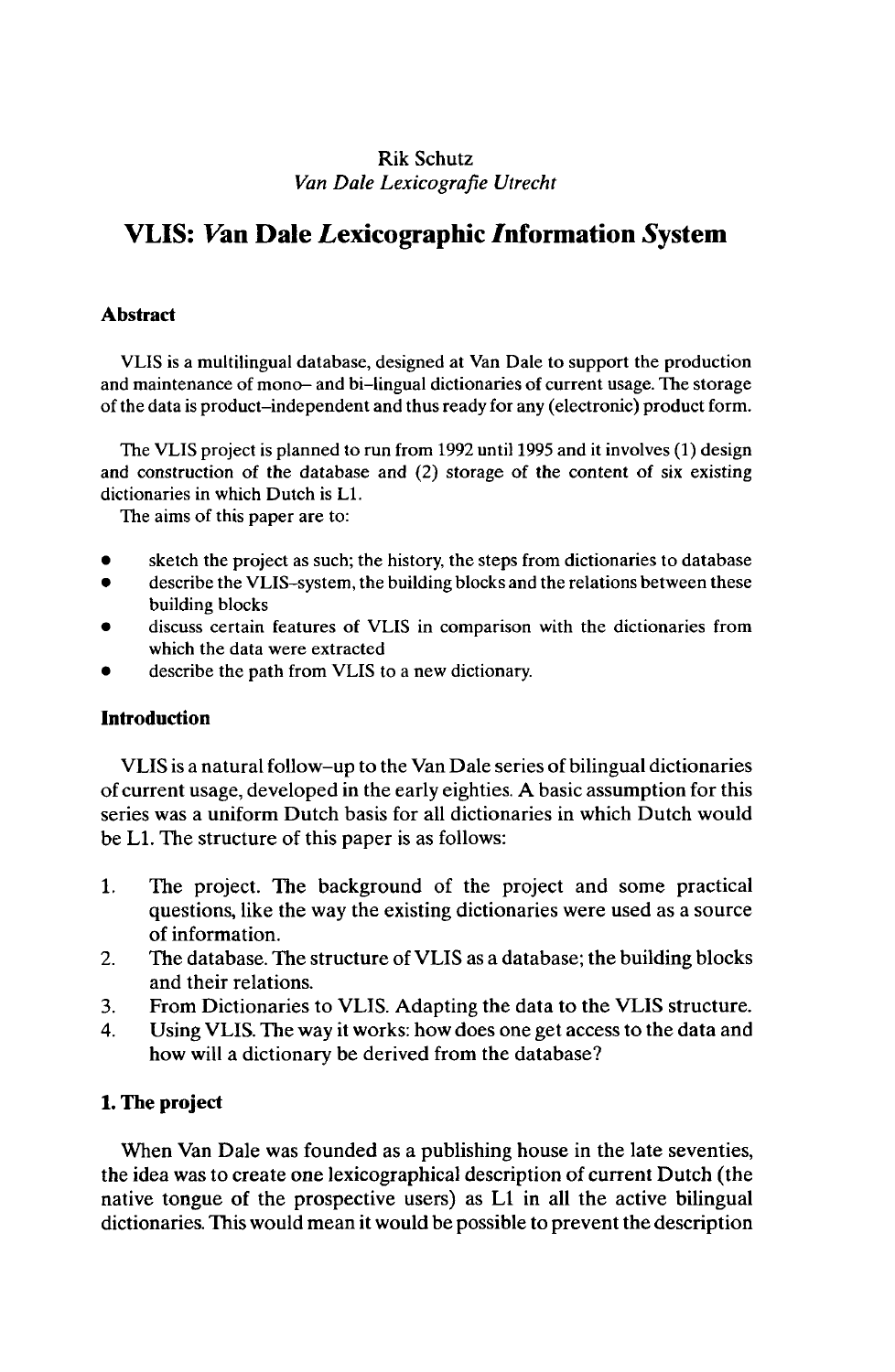# Rik Schutz *Van Dale Lexicografie Utrecht*

# **VLIS: Fan Dale Lexicographic Information System**

# **Abstract**

VLIS is a multilingual database, designed at Van Dale to support the production and maintenance of mono- and bi-lingual dictionaries of current usage. The storage of the data is product-independent and thus ready for any (electronic) product form.

The VLIS project is planned to run from 1992 until 1995 and it involves (1) design and construction of the database and (2) storage of the content of six existing dictionaries in which Dutch is LI.

The aims of this paper are to:

- sketch the project as such; the history, the steps from dictionaries to database
- describe the VLIS-system, the building blocks and the relations between these building blocks
- discuss certain features of VLIS in comparison with the dictionaries from which the data were extracted
- describe the path from VLIS to a new dictionary.

# **Introduction**

VLIS is a natural follow-up to the Van Dale series of bilingual dictionaries of current usage, developed in the early eighties. A basic assumption for this series was a uniform Dutch basis for all dictionaries in which Dutch would be LI. The structure of this paper is as follows:

- 1. The project. The background of the project and some practical questions, like the way the existing dictionaries were used as a source of information.
- 2. The database. The structure of VLIS as a database; the building blocks and their relations.
- 3. From Dictionaries to VLIS. Adapting the data to the VLIS structure.
- 4. Using VLIS. The way it works: how does one get access to the data and how will a dictionary be derived from the database?

# **1. The project**

When Van Dale was founded as a publishing house in the late seventies, the idea was to create one lexicographical description of current Dutch (the native tongue of the prospective users) as LI in all the active bilingual dictionaries. This would mean it would be possible to prevent the description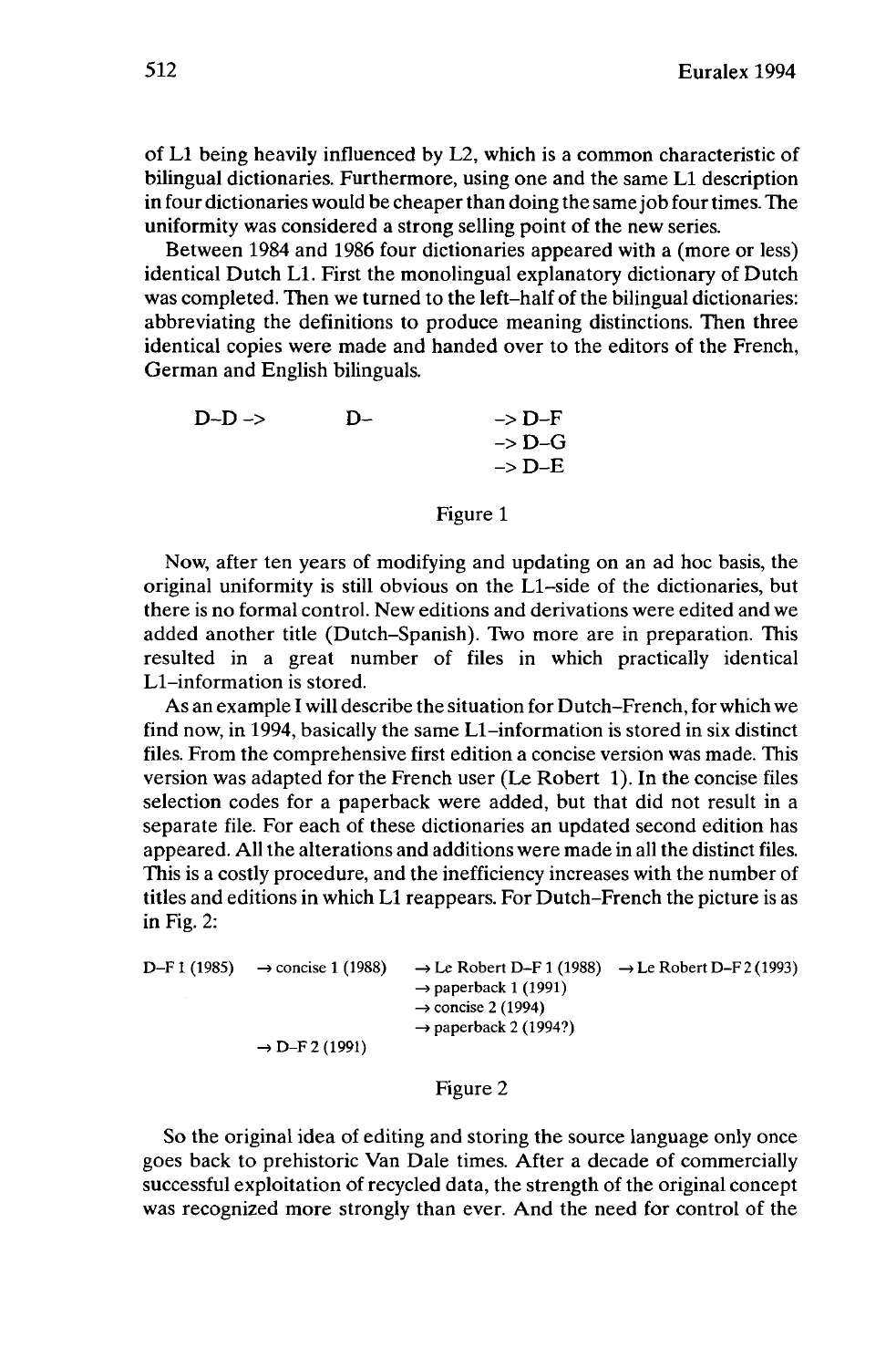of LI being heavily influenced by L2, which is a common characteristic of bilingual dictionaries. Furthermore, using one and the same LI description in four dictionaries would be cheaper than doing the same job four times. The uniformity was considered a strong selling point of the new series.

Between 1984 and 1986 four dictionaries appeared with a (more or less) identical Dutch LI. First the monolingual explanatory dictionary of Dutch was completed. Then we turned to the left-half of the bilingual dictionaries: abbreviating the definitions to produce meaning distinctions. Then three identical copies were made and handed over to the editors of the French, German and English bilinguals.

| $D-D \rightarrow$ | $D-$ | $\rightarrow$ D-F |
|-------------------|------|-------------------|
|                   |      | $\rightarrow$ D-G |
|                   |      | $\rightarrow$ D-E |

#### Figure <sup>1</sup>

Now, after ten years of modifying and updating on an ad hoc basis, the original uniformity is still obvious on the Ll-side of the dictionaries, but there is no formal control. New editions and derivations were edited and we added another title (Dutch-Spanish). Two more are in preparation. This resulted in a great number of files in which practically identical Ll-information is stored.

As an example I will describe the situation for Dutch-French, for which we find now, in 1994, basically the same Ll-information is stored in six distinct files. From the comprehensive first edition a concise version was made. This version was adapted for the French user (Le Robert 1). In the concise files selection codes for a paperback were added, but that did not result in a separate file. For each of these dictionaries an updated second edition has appeared. All the alterations and additions were made in all the distinct files. This is a costly procedure, and the inefficiency increases with the number of titles and editions in which LI reappears. For Dutch-French the picture is as in Fig. 2:

| D–F 1 (1985) → concise 1 (1988) | $\rightarrow$ Le Robert D–F 1 (1988) $\rightarrow$ Le Robert D–F 2 (1993) |  |
|---------------------------------|---------------------------------------------------------------------------|--|
|                                 | $\rightarrow$ paperback 1 (1991)                                          |  |
|                                 | $\rightarrow$ concise 2 (1994)                                            |  |
|                                 | $\rightarrow$ paperback 2 (1994?)                                         |  |
| $\rightarrow$ D-F 2 (1991)      |                                                                           |  |

#### Figure 2

So the original idea of editing and storing the source language only once goes back to prehistoric Van Dale times. After a decade of commercially successful exploitation of recycled data, the strength of the original concept was recognized more strongly than ever. And the need for control of the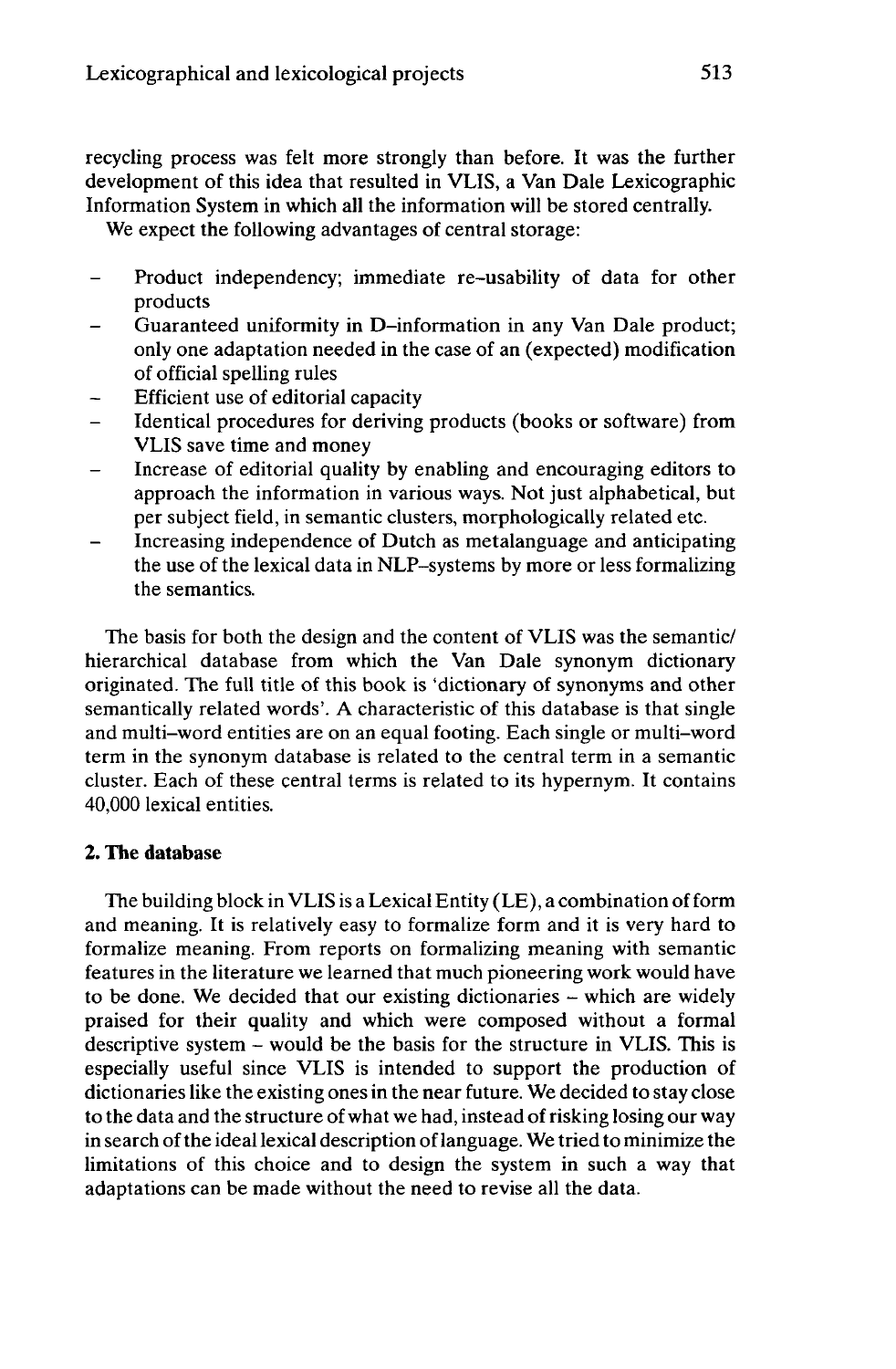recycling process was felt more strongly than before. It was the further development of this idea that resulted in VLIS, a Van Dale Lexicographic Information System in which all the information will be stored centrally.

We expect the following advantages of central storage:

- Product independency; immediate re-usability of data for other products
- Guaranteed uniformity in D-information in any Van Dale product; only one adaptation needed in the case of an (expected) modification of official spelling rules
- Efficient use of editorial capacity  $\overline{\phantom{0}}$
- Identical procedures for deriving products (books or software) from VLIS save time and money
- Increase of editorial quality by enabling and encouraging editors to approach the information in various ways. Not just alphabetical, but per subject field, in semantic clusters, morphologically related etc.
- Increasing independence of Dutch as metalanguage and anticipating the use of the lexical data in NLP-systems by more or less formalizing the semantics.

The basis for both the design and the content of VLIS was the semantic/ hierarchical database from which the Van Dale synonym dictionary originated. The full title of this book is 'dictionary of synonyms and other semantically related words'. A characteristic of this database is that single and multi-word entities are on an equal footing. Each single or multi-word term in the synonym database is related to the central term in a semantic cluster. Each of these central terms is related to its hypernym. It contains 40,000 lexical entities.

# **2. The database**

The building block in VLIS is a Lexical Entity (LE), a combination ofform and meaning. It is relatively easy to formalize form and it is very hard to formalize meaning. From reports on formalizing meaning with semantic features in the literature we learned that much pioneering work would have to be done. We decided that our existing dictionaries - which are widely praised for their quality and which were composed without a formal descriptive system - would be the basis for the structure in VLIS. This is especially useful since VLIS is intended to support the production of dictionaries like the existing ones in the near future. We decided to stay close to the data and the structure ofwhat we had, instead ofrisking losing our way in search of the ideal lexical description of language. We tried to minimize the limitations of this choice and to design the system in such a way that adaptations can be made without the need to revise all the data.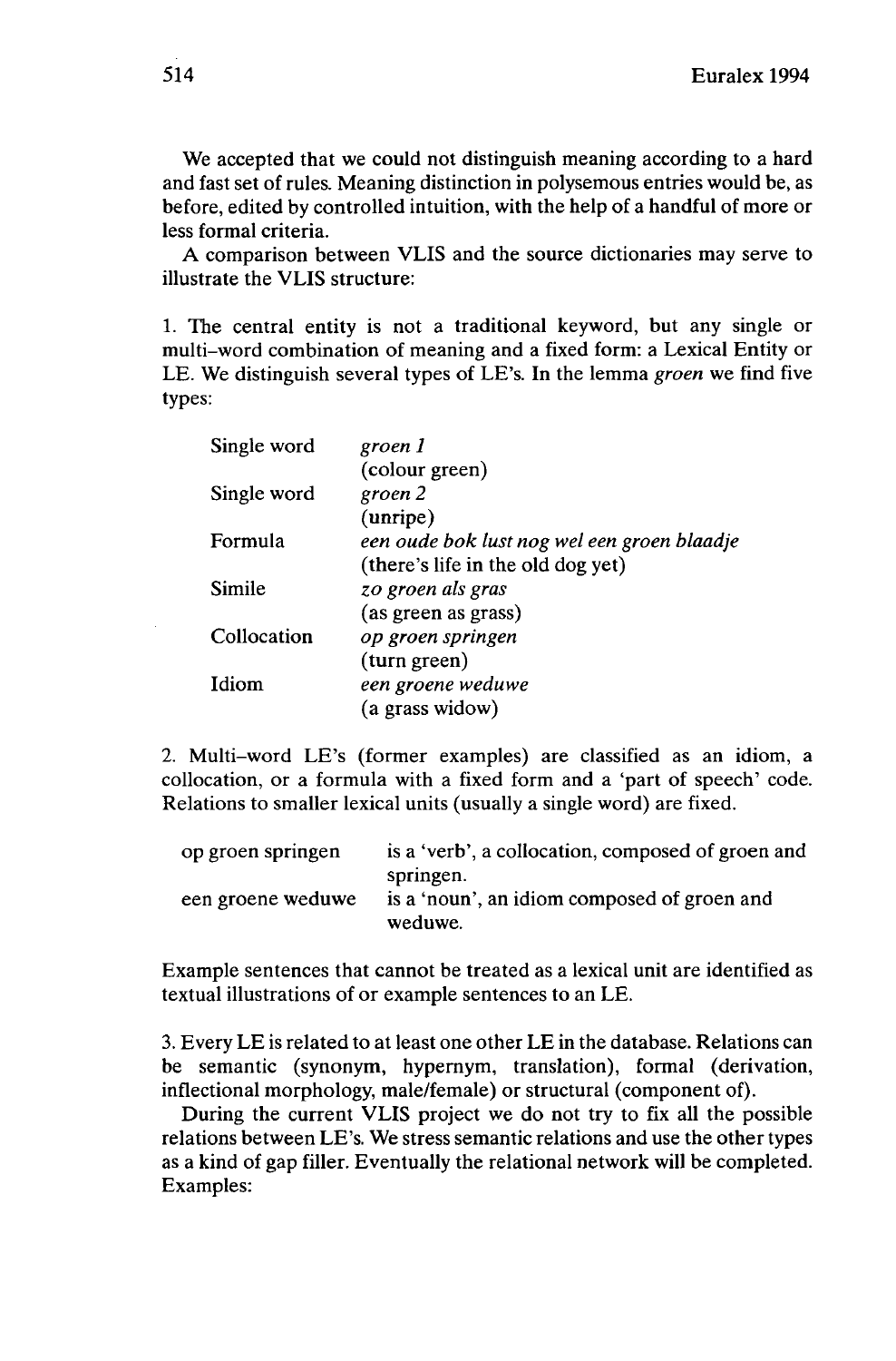We accepted that we could not distinguish meaning according to a hard and fast set of rules. Meaning distinction in polysemous entries would be, as before, edited by controlled intuition, with the help of a handful of more or less formal criteria.

A comparison between VLIS and the source dictionaries may serve to illustrate the VLIS structure:

1. The central entity is not a traditional keyword, but any single or multi-word combination of meaning and a fixed form: a Lexical Entity or LE. We distinguish several types of LE's. In the lemma *groen* we find five types:

| Single word | groen 1                                     |
|-------------|---------------------------------------------|
|             | (colour green)                              |
| Single word | groen 2                                     |
|             | (unripe)                                    |
| Formula     | een oude bok lust nog wel een groen blaadje |
|             | (there's life in the old dog yet)           |
| Simile      | zo groen als gras                           |
|             | (as green as grass)                         |
| Collocation | op groen springen                           |
|             | (turn green)                                |
| Idiom       | een groene weduwe                           |
|             | (a grass widow)                             |

2. Multi-word LE's (former examples) are classified as an idiom, a collocation, or a formula with a fixed form and a 'part of speech' code. Relations to smaller lexical units (usually a single word) are fixed.

| op groen springen | is a 'verb', a collocation, composed of groen and                   |
|-------------------|---------------------------------------------------------------------|
| een groene weduwe | springen.<br>is a 'noun', an idiom composed of groen and<br>weduwe. |

Example sentences that cannot be treated as a lexical unit are identified as textual illustrations of or example sentences to an LE.

3. Every LE is related to at least one other LE in the database. Relations can be semantic (synonym, hypernym, translation), formal (derivation, inflectional morphology, male/female) or structural (component of).

During the current VLIS project we do not try to fix all the possible relations between LE's. We stress semantic relations and use the other types as a kind of gap filler. Eventually the relational network will be completed. Examples: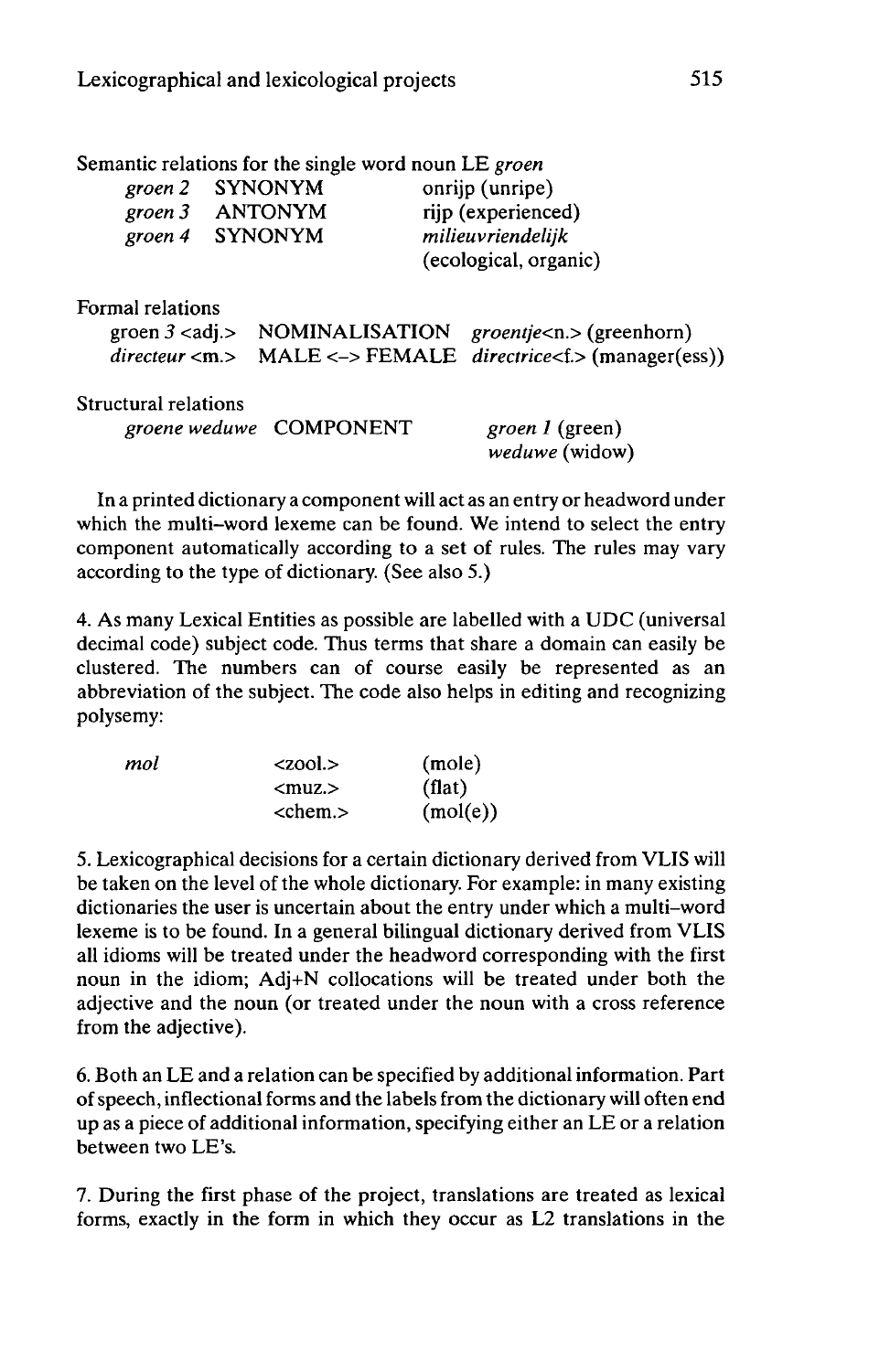| Semantic relations for the single word noun LE groen |                         |                   |                                                                      |
|------------------------------------------------------|-------------------------|-------------------|----------------------------------------------------------------------|
| groen 2                                              | <b>SYNONYM</b>          |                   | onrijp (unripe)                                                      |
| groen 3 ANTONYM                                      |                         |                   | rijp (experienced)                                                   |
| groen 4 SYNONYM                                      |                         | milieuvriendelijk |                                                                      |
|                                                      |                         |                   | (ecological, organic)                                                |
| Formal relations                                     |                         |                   |                                                                      |
|                                                      |                         |                   | groen $3$ <adj.> NOMINALISATION groentje<n.> (greenhorn)</n.></adj.> |
| directory < m >                                      |                         |                   | MALE <-> FEMALE directrice <f.> (manager(ess))</f.>                  |
| Structural relations                                 |                         |                   |                                                                      |
|                                                      | groene weduwe COMPONENT |                   | <i>groen 1</i> (green)<br>weduwe (widow)                             |

In a printed dictionary a component will act as an entry or headword under which the multi-word lexeme can be found. We intend to select the entry component automatically according to a set of rules. The rules may vary according to the type of dictionary. (See also 5.)

4. As many Lexical Entities as possible are labelled with a UDC (universal decimal code) subject code. Thus terms that share a domain can easily be clustered. The numbers can of course easily be represented as an abbreviation of the subject. The code also helps in editing and recognizing polysemy:

| mol | $\langle 200 \rangle$ | (mole)   |
|-----|-----------------------|----------|
|     | $<$ muz. $>$          | (flat)   |
|     | $<$ chem. $>$         | (mol(e)) |

5. Lexicographical decisions for a certain dictionary derived from VLIS will be taken on the level of the whole dictionary. For example: in many existing dictionaries the user is uncertain about the entry under which a multi-word lexeme is to be found. In a general bilingual dictionary derived from VLIS all idioms will be treated under the headword corresponding with the first noun in the idiom; Adj+N collocations will be treated under both the adjective and the noun (or treated under the noun with a cross reference from the adjective).

6. Both an LE and a relation can be specified by additional information. Part ofspeech, inflectional forms and the labels from the dictionary will often end up as a piece of additional information, specifying either an LE or a relation between two LE's.

7. During the first phase of the project, translations are treated as lexical forms, exactly in the form in which they occur as L2 translations in the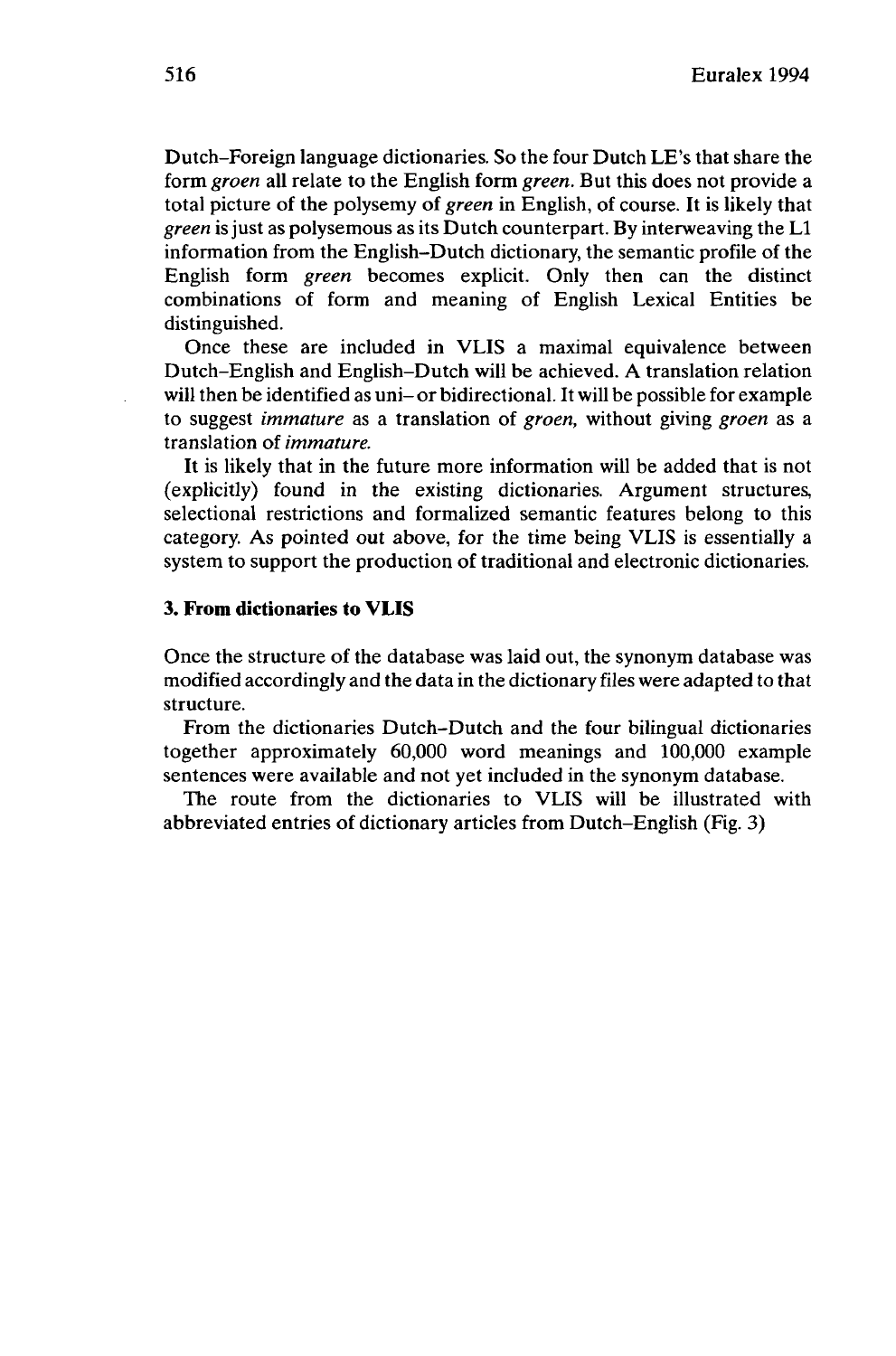Dutch-Foreign language dictionaries. So the four Dutch LE's that share the form *groen* all relate to the English form *green.* But this does not provide a total picture of the polysemy of *green* in English, of course. It is likely that *green* is just as polysemous as its Dutch counterpart. By interweaving the L1 information from the English-Dutch dictionary, the semantic profile of the English form *green* becomes explicit. Only then can the distinct combinations of form and meaning of English Lexical Entities be distinguished.

Once these are included in VLIS a maximal equivalence between Dutch-English and English-Dutch will be achieved. A translation relation will then be identified as uni-or bidirectional. It will be possible for example to suggest *immature* as a translation of *groen,* without giving *groen* as a translation of *immature.*

It is likely that in the future more information will be added that is not (explicitly) found in the existing dictionaries. Argument structures, selectional restrictions and formalized semantic features belong to this category. As pointed out above, for the time being VLIS is essentially a system to support the production of traditional and electronic dictionaries.

#### **3. From dictionaries to VLIS**

Once the structure of the database was laid out, the synonym database was modified accordingly and the data in the dictionary files were adapted to that structure.

From the dictionaries Dutch-Dutch and the four bilingual dictionaries together approximately 60,000 word meanings and 100,000 example sentences were available and not yet included in the synonym database.

The route from the dictionaries to VLIS will be illustrated with abbreviated entries of dictionary articles from Dutch-English (Fig. 3)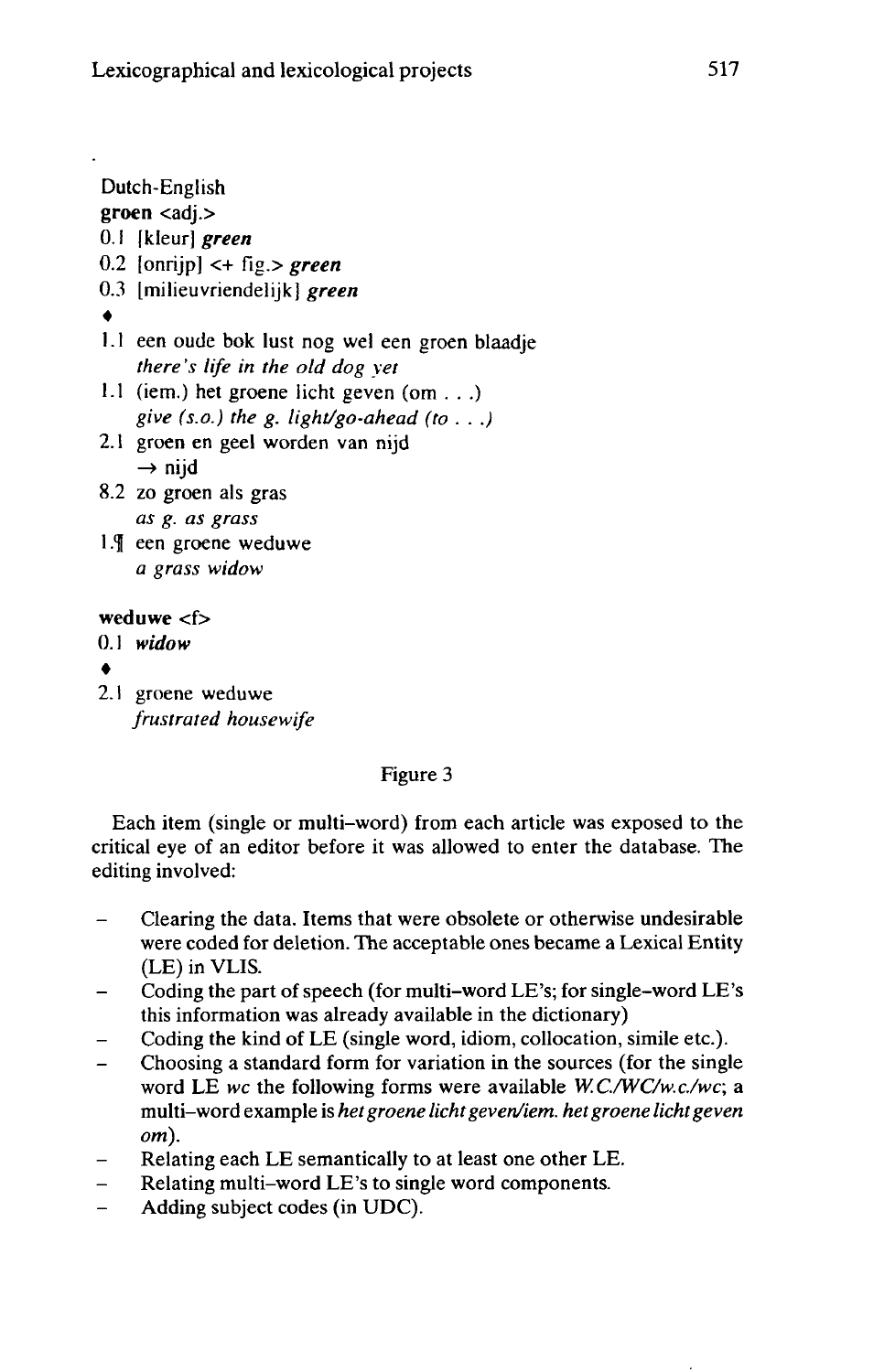Dutch-English **groen** <adj.> 0.1 | kleur] *green* 0.2 [onrijp] <+ fig.> *green* 0.3 [milieuvriendelijk] *green* • 1.1 een oude bok lust nog wel een groen blaadje *there's life in the old dog yet* 1.1 (iem.) het groene licht geven (om . . .) *give (s.o.) the g. light/go-ahead (to . . .)* 2.1 groen en geel worden van nijd  $\rightarrow$  nijd 8.2 zo groen als gras *as g. as grass* 1. Teen groene weduwe *a grass widow* **weduwe** <f> 0.1 *widow*

- •
- 2.1 groene weduwe *frustrated housewife*

Figure 3

Each item (single or multi-word) from each article was exposed to the critical eye of an editor before it was allowed to enter the database. The editing involved:

- Clearing the data. Items that were obsolete or otherwise undesirable  $\overline{\phantom{0}}$ were coded for deletion. The acceptable ones became a Lexical Entity (LE) in VLIS.
- Coding the part of speech (for multi-word LE's; for single-word LE's  $\overline{\phantom{0}}$ this information was already available in the dictionary)
- Coding the kind of LE (single word, idiom, collocation, simile etc.).
- Choosing <sup>a</sup> standard form for variation in the sources (for the single word LE *wc* the following forms were available *W.C.AVC/w.c/wc;* a multi-word example is *hetgroene lichtgeven/iem. hetgroene lichtgeven om).*
- Relating each LE semantically to at least one other LE.
- Relating multi-word LE's to single word components.
- Adding subject codes (in UDC).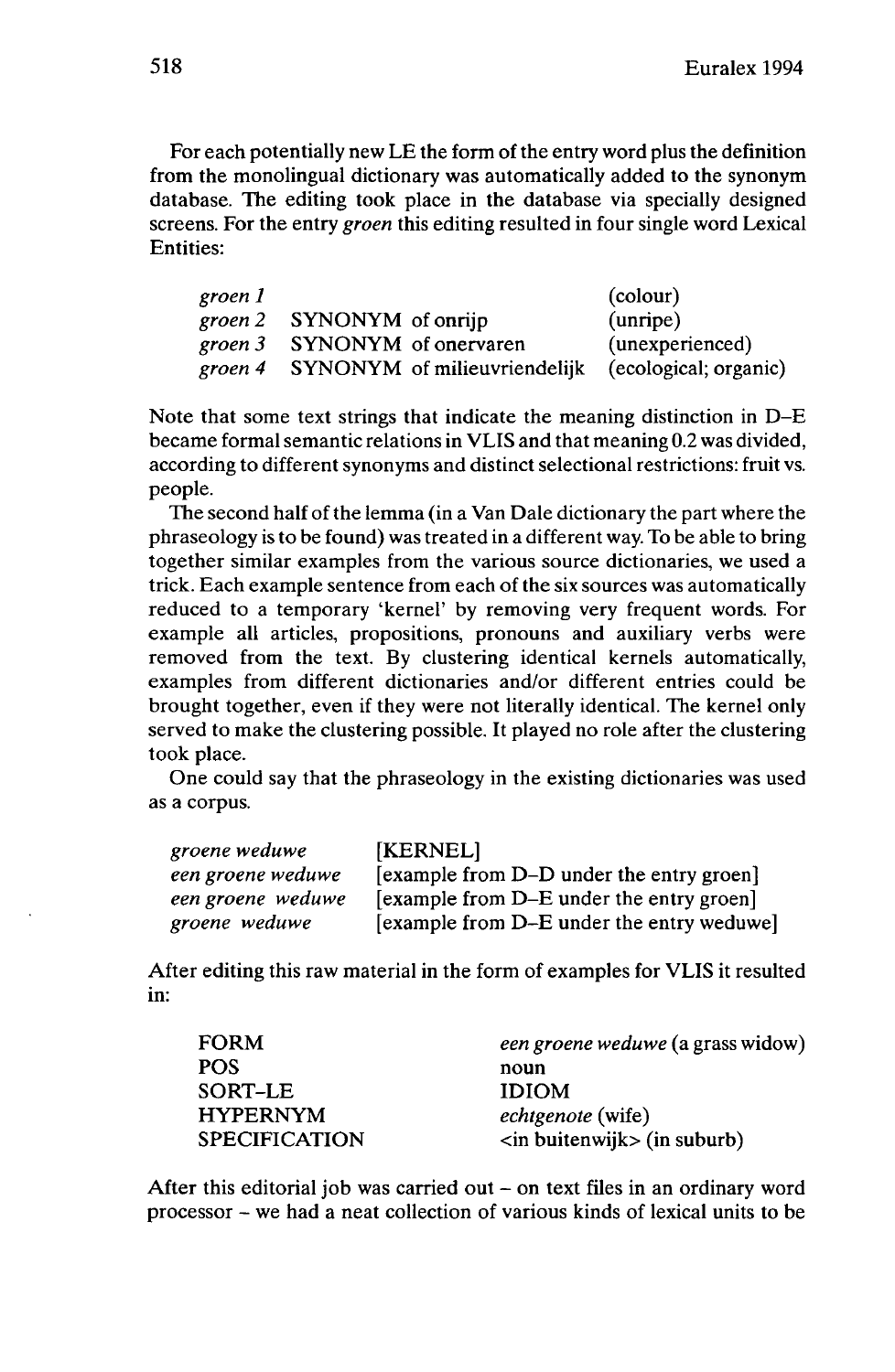For each potentially new LE the form of the entry word plus the definition from the monolingual dictionary was automatically added to the synonym database. The editing took place in the database via specially designed screens. For the entry *groen* this editing resulted in four single word Lexical Entities:

| groen 1 |                   |                                      | (colour)              |
|---------|-------------------|--------------------------------------|-----------------------|
| groen 2 | SYNONYM of onrijp |                                      | (unripe)              |
| groen 3 |                   | SYNONYM of onervaren                 | (unexperienced)       |
|         |                   | groen 4 SYNONYM of milieuvriendelijk | (ecological; organic) |

Note that some text strings that indicate the meaning distinction in D-E became formal semantic relations in VLIS and that meaning 0.2 was divided, according to different synonyms and distinct selectional restrictions: fruit vs. people.

The second half of the lemma (in a Van Dale dictionary the part where the phraseology is to be found) was treated in a different way. To be able to bring together similar examples from the various source dictionaries, we used a trick. Each example sentence from each of the six sources was automatically reduced to a temporary 'kernel' by removing very frequent words. For example all articles, propositions, pronouns and auxiliary verbs were removed from the text. By clustering identical kernels automatically, examples from different dictionaries and/or different entries could be brought together, even if they were not literally identical. The kernel only served to make the clustering possible. It played no role after the clustering took place.

One could say that the phraseology in the existing dictionaries was used as a corpus.

| groene weduwe     | [KERNEL]                                  |
|-------------------|-------------------------------------------|
| een groene weduwe | [example from D–D under the entry groen]  |
| een groene weduwe | [example from D–E under the entry groen]  |
| groene weduwe     | [example from D–E under the entry weduwe] |

After editing this raw material in the form of examples for VLIS it resulted in:

| <b>FORM</b>          | een groene weduwe (a grass widow) |
|----------------------|-----------------------------------|
| <b>POS</b>           | noun                              |
| SORT-LE              | <b>IDIOM</b>                      |
| <b>HYPERNYM</b>      | <i>echtgenote</i> (wife)          |
| <b>SPECIFICATION</b> | $\sin$ buitenwijk $\sin$ suburb)  |

After this editorial job was carried out - on text files in an ordinary word processor - we had <sup>a</sup> neat collection of various kinds of lexical units to be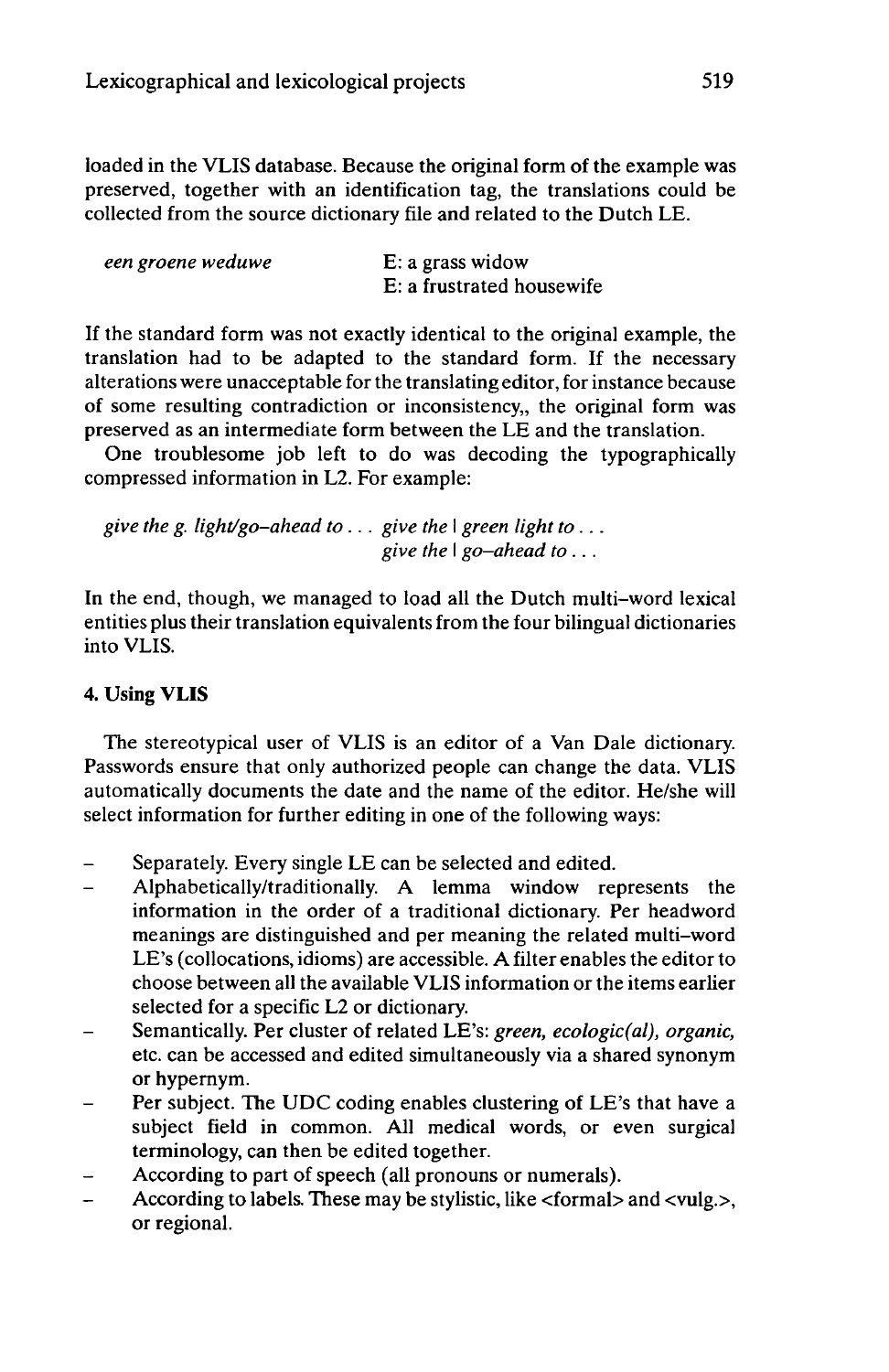loaded in the VLIS database. Because the original form of the example was preserved, together with an identification tag, the translations could be collected from the source dictionary file and related to the Dutch LE.

| een groene weduwe | $E: a$ grass widow        |
|-------------------|---------------------------|
|                   | E: a frustrated housewife |

If the standard form was not exactly identical to the original example, the translation had to be adapted to the standard form. If the necessary alterations were unacceptable for the translating editor, for instance because of some resulting contradiction or inconsistency,, the original form was preserved as an intermediate form between the LE and the translation.

One troublesome job left to do was decoding the typographically compressed information in L2. For example:

*give the g. light/go-ahead to... give the* <sup>I</sup> *green light to... give the* <sup>I</sup> *go-ahead to...*

In the end, though, we managed to load all the Dutch multi-word lexical entities plus their translation equivalentsfrom the four bilingual dictionaries into VLIS.

# 4. Using **VLIS**

The stereotypical user of VLIS is an editor of a Van Dale dictionary. Passwords ensure that only authorized people can change the data. VLIS automatically documents the date and the name of the editor. He/she will select information for further editing in one of the following ways:

- Separately. Every single LE can be selected and edited.  $\overline{a}$
- Alphabetically/traditionally. A lemma window represents the information in the order of a traditional dictionary. Per headword meanings are distinguished and per meaning the related multi-word LE's (collocations, idioms) are accessible. A filter enables the editor to choose between all the available VLIS information or the items earlier selected for a specific L2 or dictionary.
- Semantically. Per cluster of related LE's: *green, ecologic(al), organic,* etc. can be accessed and edited simultaneously via a shared synonym or hypernym.
- Per subject. The UDC coding enables clustering of LE's that have a subject field in common. All medical words, or even surgical terminology, can then be edited together.
- According to part of speech (all pronouns or numerals).
- According to labels. These may be stylistic, like <formal> and <vulg.>, or regional.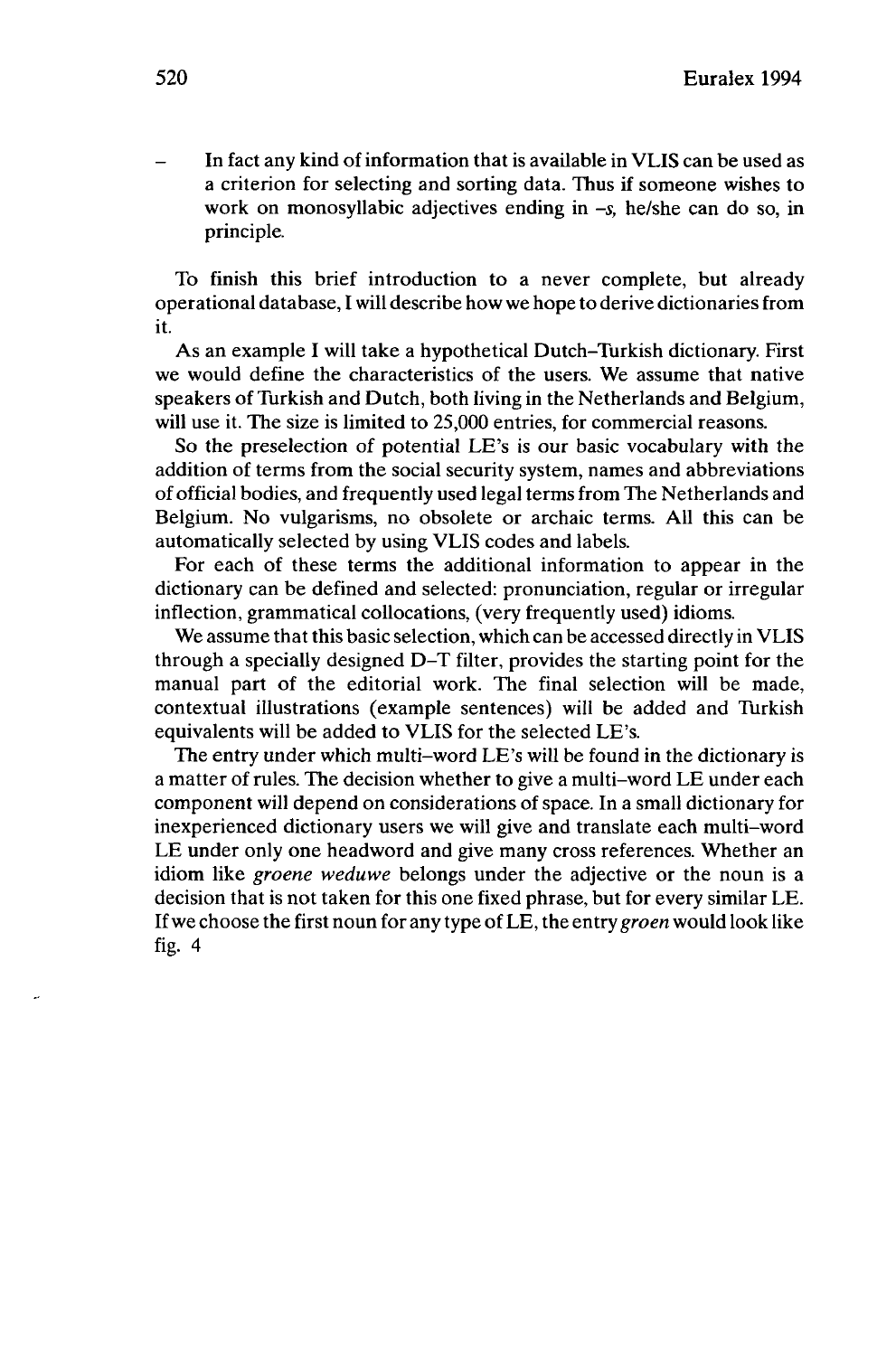In fact any kind of information that is available in VLIS can be used as a criterion for selecting and sorting data. Thus if someone wishes to work on monosyllabic adjectives ending in *-s,* he/she can do so, in principle.

To finish this brief introduction to a never complete, but already operational database, I will describe how we hope to derive dictionariesfrom it.

As an example I will take a hypothetical Dutch-Turkish dictionary. First we would define the characteristics of the users. We assume that native speakers of Turkish and Dutch, both living in the Netherlands and Belgium, will use it. The size is limited to 25,000 entries, for commercial reasons.

So the preselection of potential LE's is our basic vocabulary with the addition of terms from the social security system, names and abbreviations of official bodies, and frequently used legalterms from The Netherlands and Belgium. No vulgarisms, no obsolete or archaic terms. All this can be automatically selected by using VLIS codes and labels.

For each of these terms the additional information to appear in the dictionary can be defined and selected: pronunciation, regular or irregular inflection, grammatical collocations, (very frequently used) idioms.

We assume that this basic selection, which can be accessed directly in VLIS through a specially designed D-T filter, provides the starting point for the manual part of the editorial work. The final selection will be made, contextual illustrations (example sentences) will be added and Turkish equivalents will be added to VLIS for the selected LE's.

The entry under which multi-word LE's will be found in the dictionary is a matter of rules. The decision whether to give a multi-word LE under each component will depend on considerations of space. In a small dictionary for inexperienced dictionary users we will give and translate each multi-word LE under only one headword and give many cross references. Whether an idiom like *groene weduwe* belongs under the adjective or the noun is a decision that is not taken for this one fixed phrase, but for every similar LE. Ifwe choose the first noun for any type ofLE, the entry *groen* would look like fig.  $4$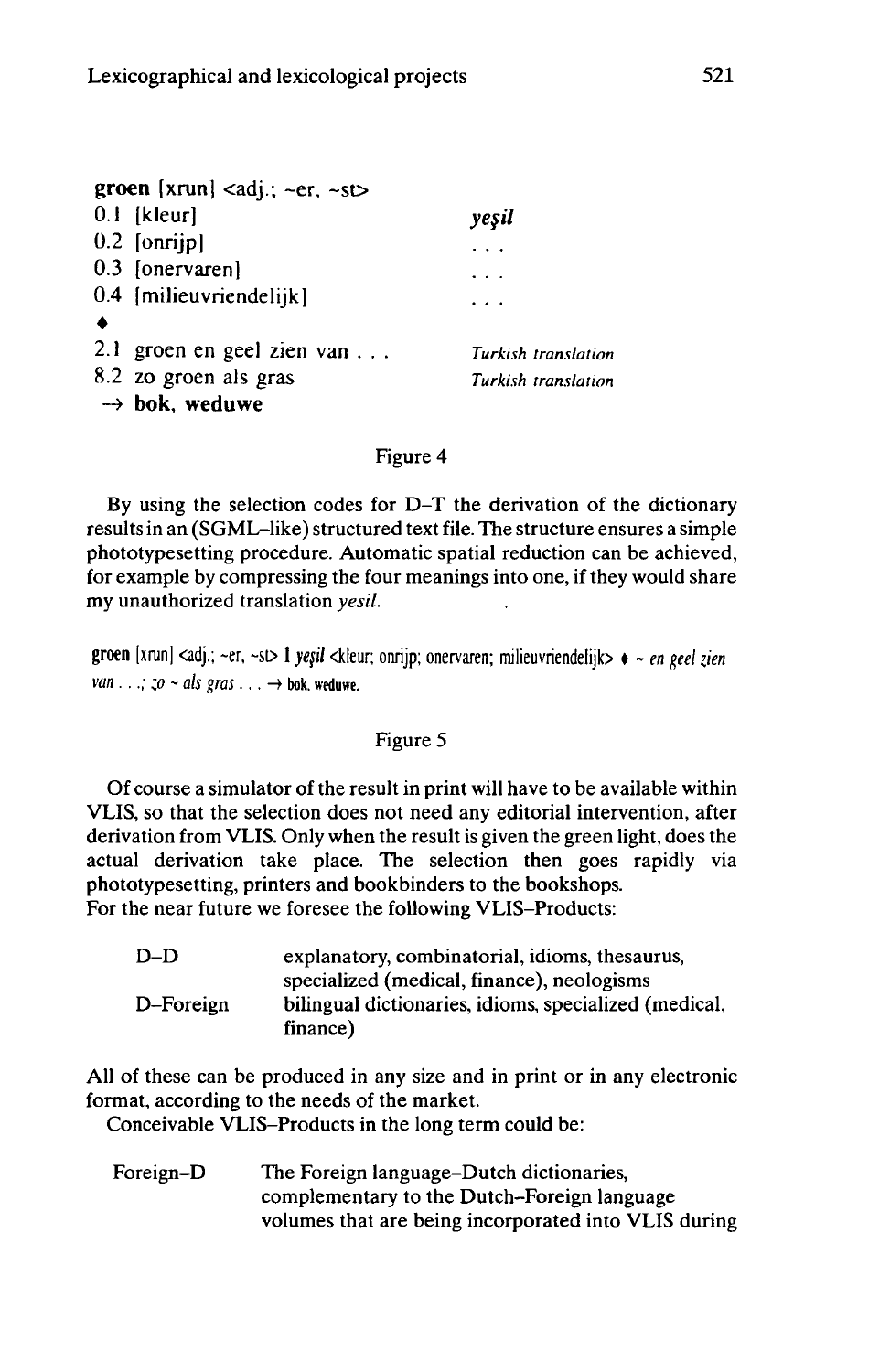| groen [xrun] <adj.; ~er,="" ~st=""></adj.;> |                     |
|---------------------------------------------|---------------------|
| $0.1$ [kleur]                               | yeşil               |
| $0.2$ [onrijp]                              |                     |
| 0.3 [onervaren]                             |                     |
| 0.4 [milieuvriendelijk]                     | $\cdots$            |
|                                             |                     |
| 2.1 groen en geel zien van                  | Turkish translation |
| 8.2 zo groen als gras                       | Turkish translation |
| $\rightarrow$ bok, weduwe                   |                     |

#### Figure 4

By using the selection codes for D-T the derivation of the dictionary resultsin an (SGML-like) structured text file. The structure ensures a simple phototypesetting procedure. Automatic spatial reduction can be achieved, for example by compressing the four meanings into one, if they would share my unauthorized translation *yesil.*

groen [xrun] <adj.; -er, ~st> <sup>1</sup> *yeß* <kleur; onrijp; onervaren; milieuvriendelijb • - *en geel zien van*  $\ldots$ ; *zo* ~ *als gras*...  $\rightarrow$  bok. weduwe.

#### Figure 5

Of course a simulator of the result in print will have to be available within VLIS, so that the selection does not need any editorial intervention, after derivation from VLIS. Only when the result is given the green light, does the actual derivation take place. The selection then goes rapidly via phototypesetting, printers and bookbinders to the bookshops. For the near future we foresee the following VLIS-Products:

| $D-D$     | explanatory, combinatorial, idioms, thesaurus,        |
|-----------|-------------------------------------------------------|
|           | specialized (medical, finance), neologisms            |
| D-Foreign | bilingual dictionaries, idioms, specialized (medical, |
|           | finance)                                              |

All of these can be produced in any size and in print or in any electronic format, according to the needs of the market.

Conceivable VLIS-Products in the long term could be:

Foreign-D The Foreign language-Dutch dictionaries, complementary to the Dutch-Foreign language volumes that are being incorporated into VLIS during